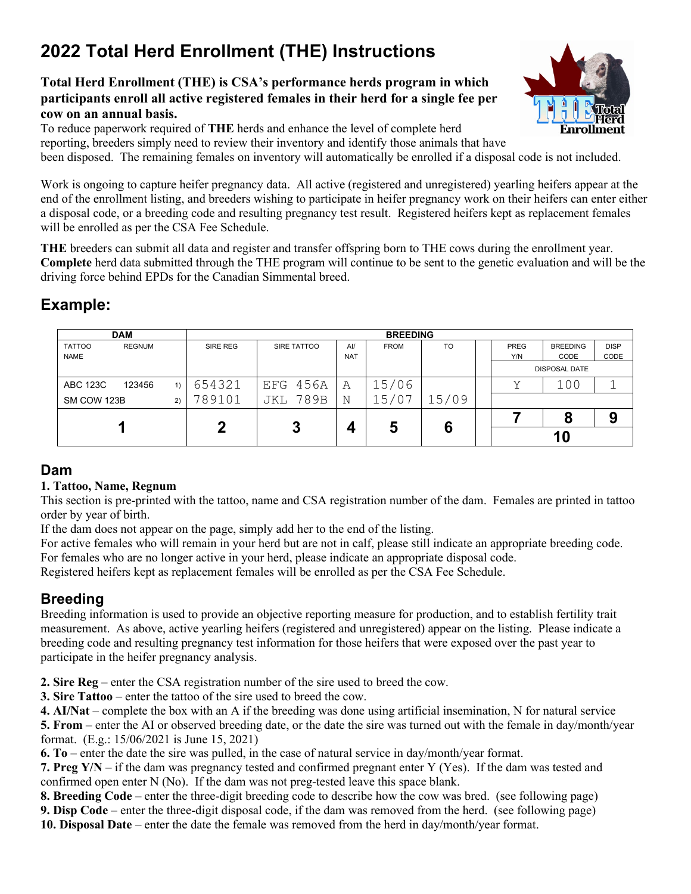# **2022 Total Herd Enrollment (THE) Instructions**

#### **Total Herd Enrollment (THE) is CSA's performance herds program in which participants enroll all active registered females in their herd for a single fee per cow on an annual basis.**

To reduce paperwork required of **THE** herds and enhance the level of complete herd reporting, breeders simply need to review their inventory and identify those animals that have been disposed. The remaining females on inventory will automatically be enrolled if a disposal code is not included.

Work is ongoing to capture heifer pregnancy data. All active (registered and unregistered) yearling heifers appear at the end of the enrollment listing, and breeders wishing to participate in heifer pregnancy work on their heifers can enter either a disposal code, or a breeding code and resulting pregnancy test result. Registered heifers kept as replacement females will be enrolled as per the CSA Fee Schedule.

**THE** breeders can submit all data and register and transfer offspring born to THE cows during the enrollment year. **Complete** herd data submitted through the THE program will continue to be sent to the genetic evaluation and will be the driving force behind EPDs for the Canadian Simmental breed.

# **Example:**

| <b>DAM</b>                   |               | <b>BREEDING</b> |                 |                   |             |           |  |                      |                         |                     |
|------------------------------|---------------|-----------------|-----------------|-------------------|-------------|-----------|--|----------------------|-------------------------|---------------------|
| <b>TATTOO</b><br><b>NAME</b> | <b>REGNUM</b> | SIRE REG        | SIRE TATTOO     | Al/<br><b>NAT</b> | <b>FROM</b> | <b>TO</b> |  | PREG<br>Y/N          | <b>BREEDING</b><br>CODE | <b>DISP</b><br>CODE |
|                              |               |                 |                 |                   |             |           |  | <b>DISPOSAL DATE</b> |                         |                     |
| ABC 123C                     | 123456<br>1)  | 654321          | EFG 456A        | A                 | 15/06       |           |  | v                    | 100                     |                     |
| SM COW 123B<br>2)            |               | '89101          | <b>JKL 789B</b> | N                 | .5/07       | 15/09     |  |                      |                         |                     |
|                              |               | מ               | 3               | 4                 | 5           | 6         |  |                      | ō                       |                     |
|                              |               |                 |                 |                   |             |           |  | 10                   |                         |                     |

## **Dam**

#### **1. Tattoo, Name, Regnum**

This section is pre-printed with the tattoo, name and CSA registration number of the dam. Females are printed in tattoo order by year of birth.

If the dam does not appear on the page, simply add her to the end of the listing.

For active females who will remain in your herd but are not in calf, please still indicate an appropriate breeding code. For females who are no longer active in your herd, please indicate an appropriate disposal code.

Registered heifers kept as replacement females will be enrolled as per the CSA Fee Schedule.

# **Breeding**

Breeding information is used to provide an objective reporting measure for production, and to establish fertility trait measurement. As above, active yearling heifers (registered and unregistered) appear on the listing. Please indicate a breeding code and resulting pregnancy test information for those heifers that were exposed over the past year to participate in the heifer pregnancy analysis.

**2. Sire Reg** – enter the CSA registration number of the sire used to breed the cow.

**3. Sire Tattoo** – enter the tattoo of the sire used to breed the cow.

**4. AI/Nat** – complete the box with an A if the breeding was done using artificial insemination, N for natural service **5. From** – enter the AI or observed breeding date, or the date the sire was turned out with the female in day/month/year format. (E.g.: 15/06/2021 is June 15, 2021)

**6. To** – enter the date the sire was pulled, in the case of natural service in day/month/year format.

**7. Preg Y/N** – if the dam was pregnancy tested and confirmed pregnant enter Y (Yes). If the dam was tested and confirmed open enter N (No). If the dam was not preg-tested leave this space blank.

**8. Breeding Code** – enter the three-digit breeding code to describe how the cow was bred. (see following page)

**9. Disp Code** – enter the three-digit disposal code, if the dam was removed from the herd. (see following page)

**10. Disposal Date** – enter the date the female was removed from the herd in day/month/year format.